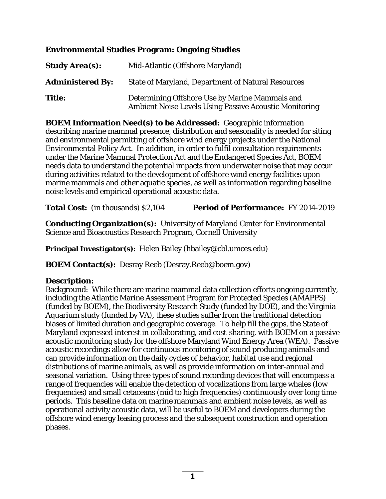### **Environmental Studies Program: Ongoing Studies**

| <b>Study Area(s):</b>   | Mid-Atlantic (Offshore Maryland)                                                                                |
|-------------------------|-----------------------------------------------------------------------------------------------------------------|
| <b>Administered By:</b> | <b>State of Maryland, Department of Natural Resources</b>                                                       |
| <b>Title:</b>           | Determining Offshore Use by Marine Mammals and<br><b>Ambient Noise Levels Using Passive Acoustic Monitoring</b> |

**BOEM Information Need(s) to be Addressed:** Geographic information describing marine mammal presence, distribution and seasonality is needed for siting and environmental permitting of offshore wind energy projects under the National Environmental Policy Act. In addition, in order to fulfil consultation requirements under the Marine Mammal Protection Act and the Endangered Species Act, BOEM needs data to understand the potential impacts from underwater noise that may occur during activities related to the development of offshore wind energy facilities upon marine mammals and other aquatic species, as well as information regarding baseline noise levels and empirical operational acoustic data.

**Total Cost:** (in thousands) \$2,104 **Period of Performance:** FY 2014-2019

**Conducting Organization(s):** University of Maryland Center for Environmental Science and Bioacoustics Research Program, Cornell University

**Principal Investigator(s):** Helen Bailey (hbailey@cbl.umces.edu)

**BOEM Contact(s):** Desray Reeb (Desray.Reeb@boem.gov)

### **Description:**

Background: While there are marine mammal data collection efforts ongoing currently, including the Atlantic Marine Assessment Program for Protected Species (AMAPPS) (funded by BOEM), the Biodiversity Research Study (funded by DOE), and the Virginia Aquarium study (funded by VA), these studies suffer from the traditional detection biases of limited duration and geographic coverage. To help fill the gaps, the State of Maryland expressed interest in collaborating, and cost-sharing, with BOEM on a passive acoustic monitoring study for the offshore Maryland Wind Energy Area (WEA). Passive acoustic recordings allow for continuous monitoring of sound producing animals and can provide information on the daily cycles of behavior, habitat use and regional distributions of marine animals, as well as provide information on inter-annual and seasonal variation. Using three types of sound recording devices that will encompass a range of frequencies will enable the detection of vocalizations from large whales (low frequencies) and small cetaceans (mid to high frequencies) continuously over long time periods. This baseline data on marine mammals and ambient noise levels, as well as operational activity acoustic data, will be useful to BOEM and developers during the offshore wind energy leasing process and the subsequent construction and operation phases.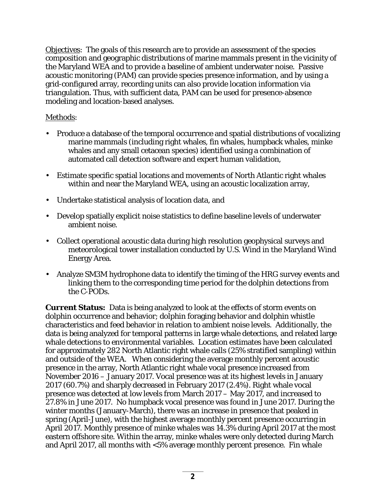Objectives: The goals of this research are to provide an assessment of the species composition and geographic distributions of marine mammals present in the vicinity of the Maryland WEA and to provide a baseline of ambient underwater noise. Passive acoustic monitoring (PAM) can provide species presence information, and by using a grid-configured array, recording units can also provide location information via triangulation. Thus, with sufficient data, PAM can be used for presence-absence modeling and location-based analyses.

# Methods:

- Produce a database of the temporal occurrence and spatial distributions of vocalizing marine mammals (including right whales, fin whales, humpback whales, minke whales and any small cetacean species) identified using a combination of automated call detection software and expert human validation,
- Estimate specific spatial locations and movements of North Atlantic right whales within and near the Maryland WEA, using an acoustic localization array,
- Undertake statistical analysis of location data, and
- Develop spatially explicit noise statistics to define baseline levels of underwater ambient noise.
- Collect operational acoustic data during high resolution geophysical surveys and meteorological tower installation conducted by U.S. Wind in the Maryland Wind Energy Area.
- Analyze SM3M hydrophone data to identify the timing of the HRG survey events and linking them to the corresponding time period for the dolphin detections from the C-PODs.

**Current Status:** Data is being analyzed to look at the effects of storm events on dolphin occurrence and behavior; dolphin foraging behavior and dolphin whistle characteristics and feed behavior in relation to ambient noise levels. Additionally, the data is being analyzed for temporal patterns in large whale detections, and related large whale detections to environmental variables. Location estimates have been calculated for approximately 282 North Atlantic right whale calls (25% stratified sampling) within and outside of the WEA. When considering the average monthly percent acoustic presence in the array, North Atlantic right whale vocal presence increased from November 2016 – January 2017. Vocal presence was at its highest levels in January 2017 (60.7%) and sharply decreased in February 2017 (2.4%). Right whale vocal presence was detected at low levels from March 2017 – May 2017, and increased to 27.8% in June 2017. No humpback vocal presence was found in June 2017. During the winter months (January-March), there was an increase in presence that peaked in spring (April-June), with the highest average monthly percent presence occurring in April 2017. Monthly presence of minke whales was 14.3% during April 2017 at the most eastern offshore site. Within the array, minke whales were only detected during March and April 2017, all months with <5% average monthly percent presence. Fin whale